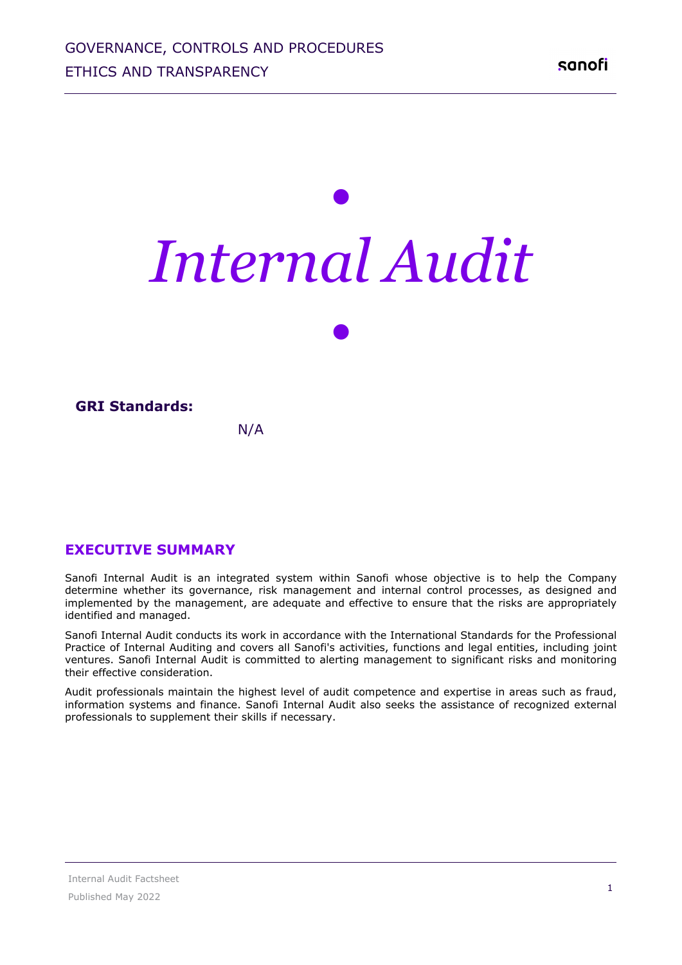# *• Internal Audit*

*•*

#### **GRI Standards:**

#### N/A

#### **EXECUTIVE SUMMARY**

Sanofi Internal Audit is an integrated system within Sanofi whose objective is to help the Company determine whether its governance, risk management and internal control processes, as designed and implemented by the management, are adequate and effective to ensure that the risks are appropriately identified and managed.

Sanofi Internal Audit conducts its work in accordance with the International Standards for the Professional Practice of Internal Auditing and covers all Sanofi's activities, functions and legal entities, including joint ventures. Sanofi Internal Audit is committed to alerting management to significant risks and monitoring their effective consideration.

Audit professionals maintain the highest level of audit competence and expertise in areas such as fraud, information systems and finance. Sanofi Internal Audit also seeks the assistance of recognized external professionals to supplement their skills if necessary.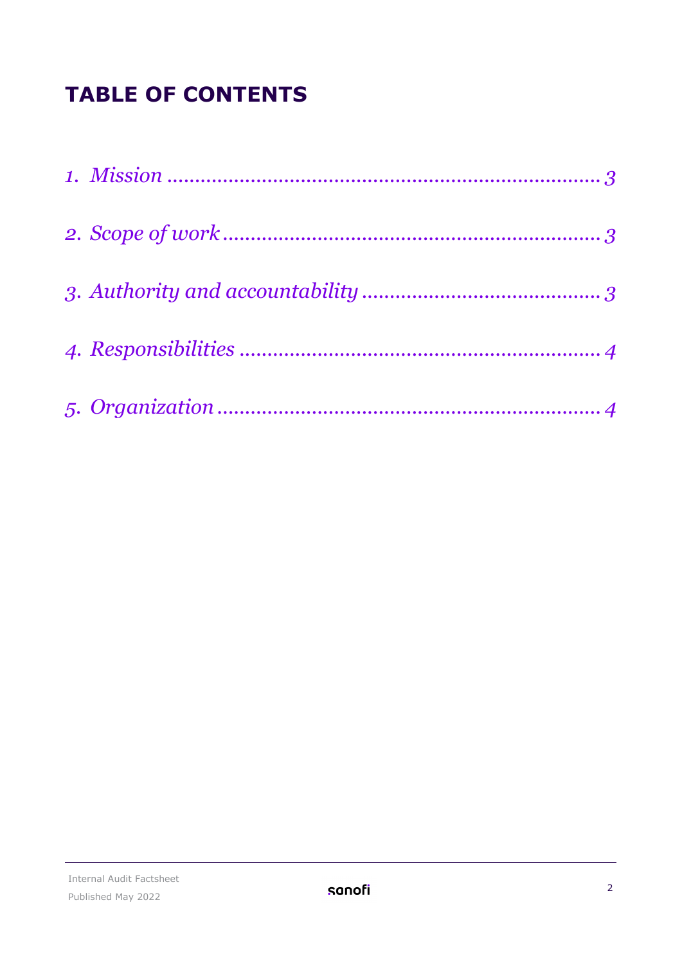# **TABLE OF CONTENTS**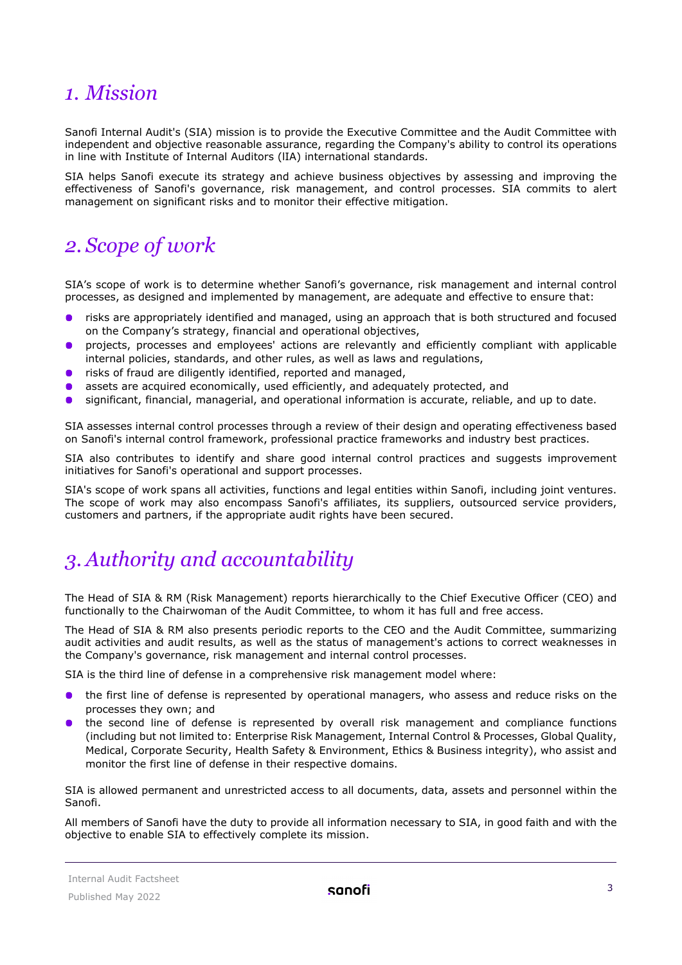#### <span id="page-2-0"></span>*1. Mission*

Sanofi Internal Audit's (SIA) mission is to provide the Executive Committee and the Audit Committee with independent and objective reasonable assurance, regarding the Company's ability to control its operations in line with Institute of Internal Auditors (lIA) international standards.

SIA helps Sanofi execute its strategy and achieve business objectives by assessing and improving the effectiveness of Sanofi's governance, risk management, and control processes. SIA commits to alert management on significant risks and to monitor their effective mitigation.

### <span id="page-2-1"></span>*2. Scope of work*

SIA's scope of work is to determine whether Sanofi's governance, risk management and internal control processes, as designed and implemented by management, are adequate and effective to ensure that:

- risks are appropriately identified and managed, using an approach that is both structured and focused on the Company's strategy, financial and operational objectives,
- projects, processes and employees' actions are relevantly and efficiently compliant with applicable  $\bullet$ internal policies, standards, and other rules, as well as laws and regulations,
- $\bullet$ risks of fraud are diligently identified, reported and managed,
- assets are acquired economically, used efficiently, and adequately protected, and
- significant, financial, managerial, and operational information is accurate, reliable, and up to date.

SIA assesses internal control processes through a review of their design and operating effectiveness based on Sanofi's internal control framework, professional practice frameworks and industry best practices.

SIA also contributes to identify and share good internal control practices and suggests improvement initiatives for Sanofi's operational and support processes.

SIA's scope of work spans all activities, functions and legal entities within Sanofi, including joint ventures. The scope of work may also encompass Sanofi's affiliates, its suppliers, outsourced service providers, customers and partners, if the appropriate audit rights have been secured.

## <span id="page-2-2"></span>*3. Authority and accountability*

The Head of SIA & RM (Risk Management) reports hierarchically to the Chief Executive Officer (CEO) and functionally to the Chairwoman of the Audit Committee, to whom it has full and free access.

The Head of SIA & RM also presents periodic reports to the CEO and the Audit Committee, summarizing audit activities and audit results, as well as the status of management's actions to correct weaknesses in the Company's governance, risk management and internal control processes.

SIA is the third line of defense in a comprehensive risk management model where:

- the first line of defense is represented by operational managers, who assess and reduce risks on the processes they own; and
- the second line of defense is represented by overall risk management and compliance functions (including but not limited to: Enterprise Risk Management, Internal Control & Processes, Global Quality, Medical, Corporate Security, Health Safety & Environment, Ethics & Business integrity), who assist and monitor the first line of defense in their respective domains.

SIA is allowed permanent and unrestricted access to all documents, data, assets and personnel within the Sanofi.

All members of Sanofi have the duty to provide all information necessary to SIA, in good faith and with the objective to enable SIA to effectively complete its mission.